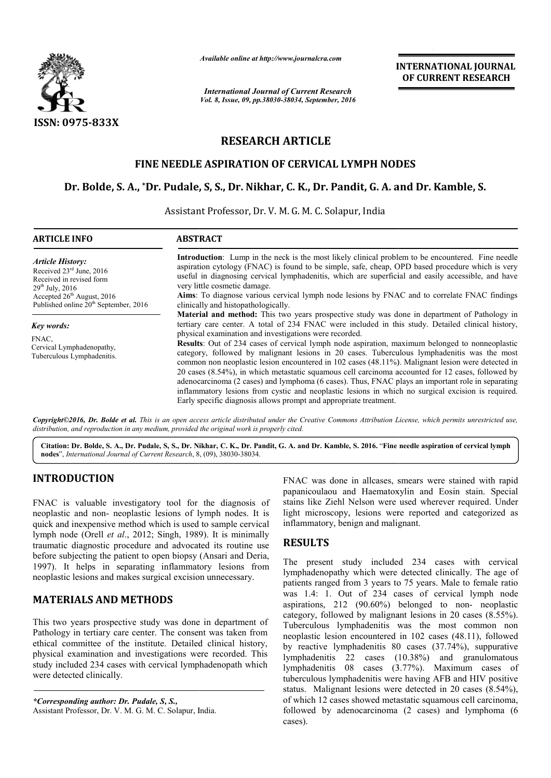

*Available online at http://www.journalcra.com*

*International Journal of Current Research Vol. 8, Issue, 09, pp.38030-38034, September, 2016* INTERNATIONAL JOURNAL OF CURRENT RESEARCH

# RESEARCH ARTICLE

### FINE NEEDLE ASPIRATION OF CERVICAL LYMPH NODES

## Dr. Bolde, S. A., \*Dr. Pudale, S, S., Dr. Nikhar, C. K., Dr. Pandit, G. A. and Dr. Kamble, S.

Assistant Professor, Dr. V. M. G. M. C. Solapur, India

| <b>ARTICLE INFO</b>                                                                                                                                 | <b>ABSTRACT</b>                                                                                                                                                                                                                                                                                                                                                                                                                                                                                                                                                                                                                                                                                                                                   |
|-----------------------------------------------------------------------------------------------------------------------------------------------------|---------------------------------------------------------------------------------------------------------------------------------------------------------------------------------------------------------------------------------------------------------------------------------------------------------------------------------------------------------------------------------------------------------------------------------------------------------------------------------------------------------------------------------------------------------------------------------------------------------------------------------------------------------------------------------------------------------------------------------------------------|
| <b>Article History:</b><br>Received 23 <sup>rd</sup> June, 2016<br>Received in revised form<br>$29^{th}$ July, 2016<br>Accepted $26th$ August, 2016 | <b>Introduction</b> : Lump in the neck is the most likely clinical problem to be encountered. Fine needle<br>aspiration cytology (FNAC) is found to be simple, safe, cheap, OPD based procedure which is very<br>useful in diagnosing cervical lymphadenitis, which are superficial and easily accessible, and have<br>very little cosmetic damage.<br>Aims: To diagnose various cervical lymph node lesions by FNAC and to correlate FNAC findings                                                                                                                                                                                                                                                                                               |
| Published online 20 <sup>th</sup> September, 2016                                                                                                   | clinically and histopathologically.<br><b>Material and method:</b> This two years prospective study was done in department of Pathology in                                                                                                                                                                                                                                                                                                                                                                                                                                                                                                                                                                                                        |
| Key words:                                                                                                                                          | tertiary care center. A total of 234 FNAC were included in this study. Detailed clinical history,                                                                                                                                                                                                                                                                                                                                                                                                                                                                                                                                                                                                                                                 |
| FNAC.<br>Cervical Lymphadenopathy,<br>Tuberculous Lymphadenitis.                                                                                    | physical examination and investigations were recorded.<br>Results: Out of 234 cases of cervical lymph node aspiration, maximum belonged to nonneoplastic<br>category, followed by malignant lesions in 20 cases. Tuberculous lymphadenitis was the most<br>common non neoplastic lesion encountered in 102 cases (48.11%). Malignant lesion were detected in<br>20 cases (8.54%), in which metastatic squamous cell carcinoma accounted for 12 cases, followed by<br>adenocarcinoma (2 cases) and lymphoma (6 cases). Thus, FNAC plays an important role in separating<br>inflammatory lesions from cystic and neoplastic lesions in which no surgical excision is required.<br>Early specific diagnosis allows prompt and appropriate treatment. |

*Copyright©2016, Dr. Bolde et al. This is an open access article distributed under the Creative Commons Att Attribution License, which ribution permits unrestricted use, distribution, and reproduction in any medium, provided the original work is properly cited.*

Citation: Dr. Bolde, S. A., Dr. Pudale, S, S., Dr. Nikhar, C. K., Dr. Pandit, G. A. and Dr. Kamble, S. 2016. "Fine needle aspiration of cervical lymph nodes", *International Journal of Current Research*, 8, (09), 38030-38034.

## INTRODUCTION

FNAC is valuable investigatory tool for the diagnosis of neoplastic and non- neoplastic lesions of lymph nodes. It is quick and inexpensive method which is used to sample cervical lymph node (Orell *et al.*, 2012; Singh, 1989). It is minimally traumatic diagnostic procedure and advocated its routine use traumatic diagnostic procedure and advocated its routine use<br>before subjecting the patient to open biopsy (Ansari and Deria, 1997). It helps in separating inflammatory lesions from neoplastic lesions and makes surgical excision unnecessary.

## MATERIALS AND METHODS

This two years prospective study was done in department of Pathology in tertiary care center. The consent was taken from ethical committee of the institute. Detailed clinical history, physical examination and investigations were recorded. This study included 234 cases with cervical lymphadenopath which were detected clinically. It helps in separating inflammatory lesions from<br>astic lesions and makes surgical excision unnecessary.<br>**ERIALS AND METHODS**<br>two years prospective study was done in department of<br>logy in tertiary care center. The consent w

*\*Corresponding author: Dr. Pudale, S, S.,*  Assistant Professor, Dr. V. M. G. M. C. Solapur, India. papanicoulaou and Haematoxylin and Eosin stain. Special stains like Ziehl Nelson were used wherever required. Under light microscopy, lesions were reported and categorized as inflammatory, benign and malignant. FNAC was done in allcases, smears were stained with rapid and Haematoxylin and Eosin stain. Special Ziehl Nelson were used wherever required. Under scopy, lesions were reported and categorized as rry, benign and malignant.

## **RESULTS**

**EXAC was done in allcases**, smears<br> **EXAC was done in allcases**, smears<br> **EXAC was done in allcanationy** in a Haematoxy in a standardo which is used to sample erroricol and Haematoxy in separation concleted with its mini The present study included 234 cases with cervical lymphadenopathy which were detected clinically. The age of patients ranged from 3 years to 75 years. Male to female ratio was 1.4: 1. Out of 234 cases of cervical lymph node aspirations, 212 (90.60%) belonged to non-neoplastic category, followed by malignant lesions in 20 cases (8.55%). Tuberculous lymphadenitis was the most common non neoplastic lesion encountered in 102 cases (48.11), followed by reactive lymphadenitis 80 cases (37.74%), suppurative lymphadenitis 22 cases (10.38%) and granulomatous lymphadenitis 08 cases (3.77%). Maximum cases of tuberculous lymphadenitis were having AFB and HIV positive status. Malignant lesions were detected in 20 cases (8.54%), of which 12 cases showed metastatic squamous cell carcinoma, followed by adenocarcinoma (2 cases) and lymphoma (6 cases). ranged from 3 years to 75 years. Male to female ratio : 1. Out of 234 cases of cervical lymph node ns, 212 (90.60%) belonged to non- neoplastic Tuberculous lymphadenitis was the most common non neoplastic lesion encountered in 102 cases (48.11), followed by reactive lymphadenitis 80 cases (37.74%), suppurative lymphadenitis 22 cases (10.38%) and granulomatous lym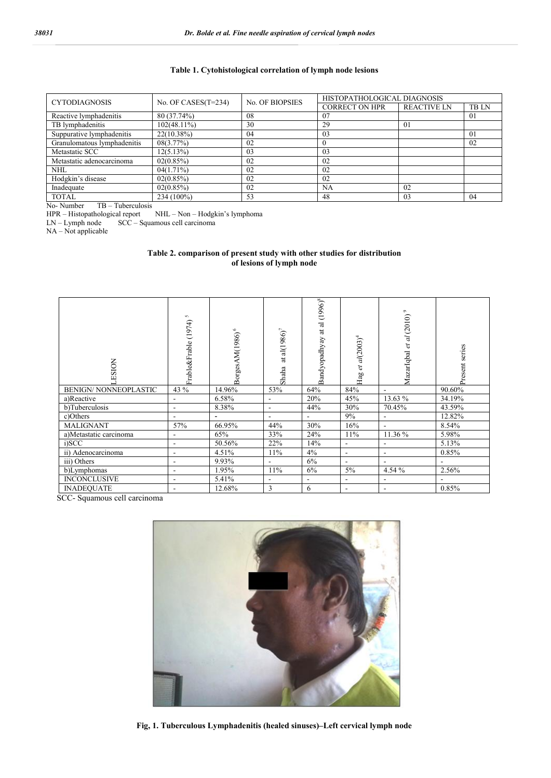### Table 1. Cytohistological correlation of lymph node lesions

| <b>CYTODIAGNOSIS</b>        | No. OF CASES $(T=234)$ | <b>No. OF BIOPSIES</b> | HISTOPATHOLOGICAL DIAGNOSIS |                    |                |  |
|-----------------------------|------------------------|------------------------|-----------------------------|--------------------|----------------|--|
|                             |                        |                        | <b>CORRECT ON HPR</b>       | <b>REACTIVE LN</b> | <b>TBLN</b>    |  |
| Reactive lymphadenitis      | 80 (37.74%)            | 08                     | 07                          |                    | 01             |  |
| TB lymphadenitis            | 102(48.11%)            | 30                     | 29                          | 01                 |                |  |
| Suppurative lymphadenitis   | $22(10.38\%)$          | 04                     | 03                          |                    | 0 <sub>1</sub> |  |
| Granulomatous lymphadenitis | 08(3.77%)              | 02                     |                             |                    | 02             |  |
| Metastatic SCC              | 12(5.13%)              | 03                     | 03                          |                    |                |  |
| Metastatic adenocarcinoma   | 02(0.85%)              | 02                     | 02                          |                    |                |  |
| <b>NHL</b>                  | $04(1.71\%)$           | 02                     | 02                          |                    |                |  |
| Hodgkin's disease           | 02(0.85%)              | 02                     | 02                          |                    |                |  |
| Inadequate                  | 02(0.85%)              | 02                     | NA                          | 02                 |                |  |
| <b>TOTAL</b>                | 234 (100%)             | 53                     | 48                          | 03                 | 04             |  |

No- Number TB – Tuberculosis

HPR – Histopathological report NHL – Non – Hodgkin's lymphoma

LN – Lymph node SCC – Squamous cell carcinoma

 $NA - Not$  applicable

| Table 2. comparison of present study with other studies for distribution |  |  |  |  |  |
|--------------------------------------------------------------------------|--|--|--|--|--|
| of lesions of lymph node                                                 |  |  |  |  |  |

| <b>ESION</b>                | S<br>(1974)<br>Frable&Frable | Ó<br>3orgesAM(1986)      | $\text{al}(1986)^{7}$<br>$\sharp$<br>Shaha | $(1996)^{8}$<br>ಸ<br>$\overline{a}$<br>Bandyopadhyay | Hag et al(2003) <sup>4</sup> | $\circ$<br>MazarIqbal et al (2010) | Present series |
|-----------------------------|------------------------------|--------------------------|--------------------------------------------|------------------------------------------------------|------------------------------|------------------------------------|----------------|
| <b>BENIGN/NONNEOPLASTIC</b> | 43 %                         | 14.96%                   | 53%                                        | 64%                                                  | 84%                          | $\blacksquare$                     | 90.60%         |
| a)Reactive                  | $\overline{\phantom{a}}$     | 6.58%                    | $\overline{\phantom{0}}$                   | 20%                                                  | 45%                          | 13.63 %                            | 34.19%         |
| b)Tuberculosis              | $\overline{\phantom{a}}$     | 8.38%                    | $\overline{\phantom{a}}$                   | 44%                                                  | 30%                          | 70.45%                             | 43.59%         |
| c)Others                    |                              | $\overline{\phantom{a}}$ | ۰                                          | $\blacksquare$                                       | 9%                           | $\blacksquare$                     | 12.82%         |
| <b>MALIGNANT</b>            | 57%                          | 66.95%                   | 44%                                        | 30%                                                  | 16%                          | $\overline{\phantom{a}}$           | 8.54%          |
| a)Metastatic carcinoma      | $\overline{\phantom{a}}$     | 65%                      | 33%                                        | 24%                                                  | 11%                          | 11.36 %                            | 5.98%          |
| i)SCC                       |                              | 50.56%                   | 22%                                        | 14%                                                  | $\qquad \qquad \blacksquare$ | $\overline{\phantom{a}}$           | 5.13%          |
| ii) Adenocarcinoma          | $\overline{\phantom{a}}$     | 4.51%                    | 11%                                        | 4%                                                   | $\overline{\phantom{a}}$     | $\overline{\phantom{a}}$           | 0.85%          |
| iii) Others                 | ۰                            | 9.93%                    |                                            | 6%                                                   |                              | $\overline{\phantom{a}}$           |                |
| b)Lymphomas                 | -                            | 1.95%                    | 11%                                        | 6%                                                   | $5\%$                        | 4.54 %                             | 2.56%          |
| <b>INCONCLUSIVE</b>         | $\overline{\phantom{a}}$     | 5.41%                    | $\overline{\phantom{a}}$                   | $\blacksquare$                                       | $\overline{\phantom{a}}$     | ٠                                  |                |
| <b>INADEQUATE</b>           |                              | 12.68%                   | 3                                          | 6                                                    |                              | $\overline{\phantom{a}}$           | 0.85%          |

SCC- Squamous cell carcinoma

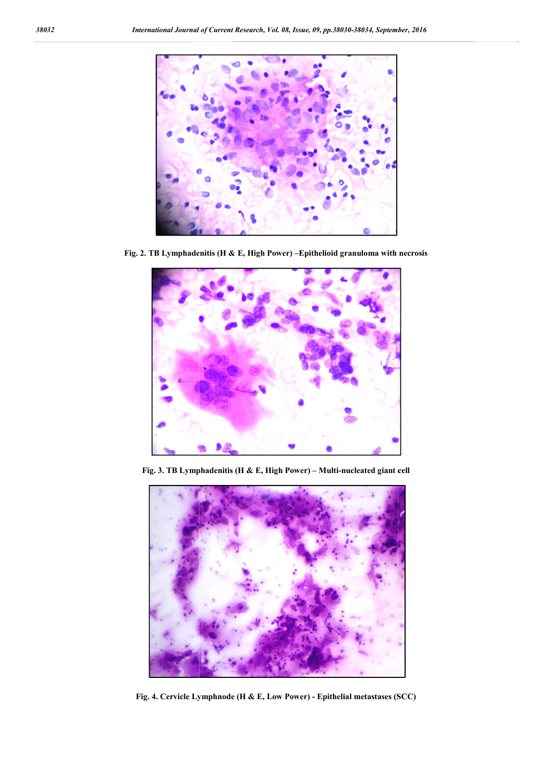

Fig. 2. TB Lymphadenitis (H & E, High Power) –Epithelioid granuloma with necrosis



Fig. 3. TB Lymphadenitis (H & E, High Power) – Multi-nucleated giant cell



Fig. 4. Cervicle Lymphnode (H & E, Low Power) - Epithelial metastases (SCC)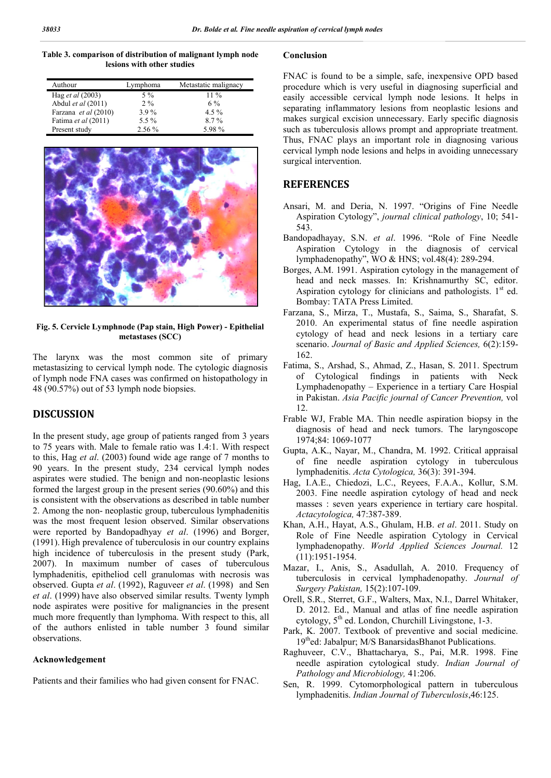Table 3. comparison of distribution of malignant lymph node lesions with other studies

| Authour                 | Lymphoma | Metastatic malignacy |
|-------------------------|----------|----------------------|
| Hag <i>et al</i> (2003) | $5\%$    | $11\%$               |
| Abdul et al (2011)      | $2\%$    | $6\%$                |
| Farzana et al (2010)    | $3.9\%$  | $4.5\%$              |
| Fatima et al (2011)     | 5.5 %    | $8.7\%$              |
| Present study           | $2.56\%$ | 5.98%                |



#### Fig. 5. Cervicle Lymphnode (Pap stain, High Power) - Epithelial metastases (SCC)

The larynx was the most common site of primary metastasizing to cervical lymph node. The cytologic diagnosis of lymph node FNA cases was confirmed on histopathology in 48 (90.57%) out of 53 lymph node biopsies.

### DISCUSSION

In the present study, age group of patients ranged from 3 years to 75 years with. Male to female ratio was 1.4:1. With respect to this, Hag *et al*. (2003) found wide age range of 7 months to 90 years. In the present study, 234 cervical lymph nodes aspirates were studied. The benign and non-neoplastic lesions formed the largest group in the present series (90.60%) and this is consistent with the observations as described in table number 2. Among the non- neoplastic group, tuberculous lymphadenitis was the most frequent lesion observed. Similar observations were reported by Bandopadhyay *et al*. (1996) and Borger, (1991). High prevalence of tuberculosis in our country explains high incidence of tuberculosis in the present study (Park, 2007). In maximum number of cases of tuberculous lymphadenitis, epitheliod cell granulomas with necrosis was observed. Gupta *et al*. (1992), Raguveer *et al* . (1998) and Sen *et al*. (1999) have also observed similar results. Twenty lymph node aspirates were positive for malignancies in the present much more frequently than lymphoma. With respect to this, all of the authors enlisted in table number 3 found similar observations.

#### Acknowledgement

Patients and their families who had given consent for FNAC.

### Conclusion

FNAC is found to be a simple, safe, inexpensive OPD based procedure which is very useful in diagnosing superficial and FNAC is found to be a simple, safe, inexpensive OPD based<br>procedure which is very useful in diagnosing superficial and<br>easily accessible cervical lymph node lesions. It helps in separating inflammatory lesions from neoplastic lesions and makes surgical excision unnecessary. Early specific diagnosis such as tuberculosis allows prompt and appropriate treatment. Thus, FNAC plays an important role in diagnosing various cervical lymph node lesions and helps in avoiding unnecessary surgical intervention. cervical lymph node lesions and helps in avoiding unnecessary<br>surgical intervention.<br>**REFERENCES**<br>Ansari, M. and Deria, N. 1997. "Origins of Fine Needle ating inflammatory lesions from neoplastic lesions and<br>s surgical excision unnecessary. Early specific diagnosis<br>as tuberculosis allows prompt and appropriate treatment.<br>FNAC plays an important role in diagnosing various

#### REFERENCES

- Aspiration Cytology", *journal clinical pathology* , 10; 541- 543.
- Bandopadhayay, S.N. *et al*. 1996. 1996. "Role of Fine Needle Aspiration Cytology in the diagnosis of cervical Aspiration Cytology in the diagnosis of collymphadenopathy", WO & HNS; vol.48(4): 289-294.
- Borges, A.M. 1991. Aspiration cytology in the management of head and neck masses. In: Krishnamurthy SC, editor. head and neck masses. In: Krishnamurthy SC, editor.<br>Aspiration cytology for clinicians and pathologists. 1<sup>st</sup> ed. Bombay: TATA Press Limited.
- Farzana, S., Mirza, T., Mustafa, S., Saima, S., Sharafat, S. 2010. An experimental status of fine needle aspiration 2010. An experimental status of fine needle aspiration cytology of head and neck lesions in a tertiary care scenario. *Journal of Basic and Applied Sciences,* 6(2):159- 162.
- Fatima, S., Arshad, S., Ahmad, Z., Hasan, S. 2011. Spectrum of Cytological findings in patients with Neck Lymphadenopathy - Experience in a tertiary Care Hospial in Pakistan. Asia Pacific journal of Cancer Prevention, vol 12.
- Frable WJ, Frable MA. Thin needle aspiration biopsy in the diagnosis of head and neck tumors. The laryngoscope 1974;84: 1069-1077 MA. Thin needle aspiration biopsy in the<br>ead and neck tumors. The laryngoscope<br>077, M., Chandra, M. 1992. Critical appraisal
- Gupta, A.K., Nayar, M., Chandra, M. 1992. Critical appraisal of fine needle aspiration cytology in tuberculous lymphadenitis. *Acta Cytologica,* 36(3): 391-394.
- Hag, I.A.E., Chiedozi, L.C., Reyees , Reyees, F.A.A., Kollur, S.M. 2003. Fine needle aspiration cytology of head and neck masses : seven years experience in tertiary care hospital. *Actacytologica,* 47:387-389. needle aspiration cytology of head and neck<br>ven years experience in tertiary care hospital.<br>*ica*, 47:387-389.<br>yat, A.S., Ghulam, H.B. *et al*. 2011. Study on
- Khan, A.H., Hayat, A.S., Ghulam, H.B. et al. 2011. Study on Role of Fine Needle aspiration Cytology in Cervical lymphadenopathy. World Applied Sciences Journal. 12 (11):1951-1954.
- Mazar, I., Anis, S., Asadullah, A. 2010. Frequency of tuberculosis in cervical lymphadenopathy. Journal of *Surgery Pakistan,* 15(2):107 15(2):107-109.
- Orell, S.R., Sterret, G.F., Walters, Max, N.I., Darrel Whitaker, D. 2012. Ed., Manual and atlas of fine needle aspiration D. 2012. Ed., Manual and atlas of fine needle asp cytology, 5<sup>th</sup> ed. London, Churchill Livingstone, 1-3.
- Park, K. 2007. Textbook of preventive and social medicine. 19thed: Jabalpur; M/S BanarsidasBhanot Publications.
- Raghuveer, C.V., Bhattacharya , Bhattacharya, S., Pai, M.R. 1998. Fine needle aspiration cytological study. *Indian Journal of Pathology and Microbiology,* 41:206.
- Sen, R. 1999. Cytomorphological pattern in tuberculous lymphadenitis. *Indian Journal of Tuberculosis Indian Journal of Tuberculosis*,46:125.